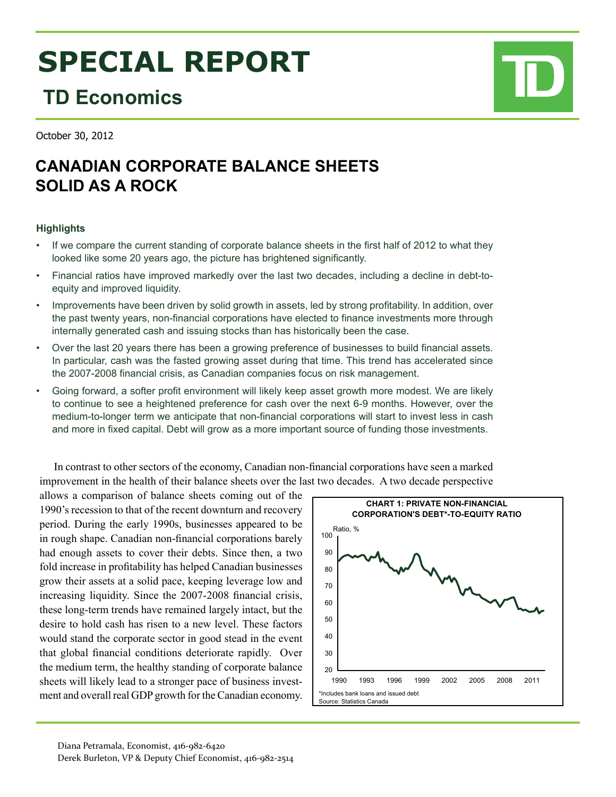# **SPECIAL REPORT**

## **TD Economics**

October 30, 2012

### **CANADIAN CORPORATE BALANCE SHEETS solid as a rock**

#### **Highlights**

- If we compare the current standing of corporate balance sheets in the first half of 2012 to what they looked like some 20 years ago, the picture has brightened significantly.
- Financial ratios have improved markedly over the last two decades, including a decline in debt-toequity and improved liquidity.
- Improvements have been driven by solid growth in assets, led by strong profitability. In addition, over the past twenty years, non-financial corporations have elected to finance investments more through internally generated cash and issuing stocks than has historically been the case.
- Over the last 20 years there has been a growing preference of businesses to build financial assets. In particular, cash was the fasted growing asset during that time. This trend has accelerated since the 2007-2008 financial crisis, as Canadian companies focus on risk management.
- Going forward, a softer profit environment will likely keep asset growth more modest. We are likely to continue to see a heightened preference for cash over the next 6-9 months. However, over the medium-to-longer term we anticipate that non-financial corporations will start to invest less in cash and more in fixed capital. Debt will grow as a more important source of funding those investments.

#### In contrast to other sectors of the economy, Canadian non-financial corporations have seen a marked improvement in the health of their balance sheets over the last two decades. A two decade perspective

allows a comparison of balance sheets coming out of the 1990's recession to that of the recent downturn and recovery period. During the early 1990s, businesses appeared to be in rough shape. Canadian non-financial corporations barely had enough assets to cover their debts. Since then, a two fold increase in profitability has helped Canadian businesses grow their assets at a solid pace, keeping leverage low and increasing liquidity. Since the 2007-2008 financial crisis, these long-term trends have remained largely intact, but the desire to hold cash has risen to a new level. These factors would stand the corporate sector in good stead in the event that global financial conditions deteriorate rapidly. Over the medium term, the healthy standing of corporate balance sheets will likely lead to a stronger pace of business investment and overall real GDP growth for the Canadian economy.



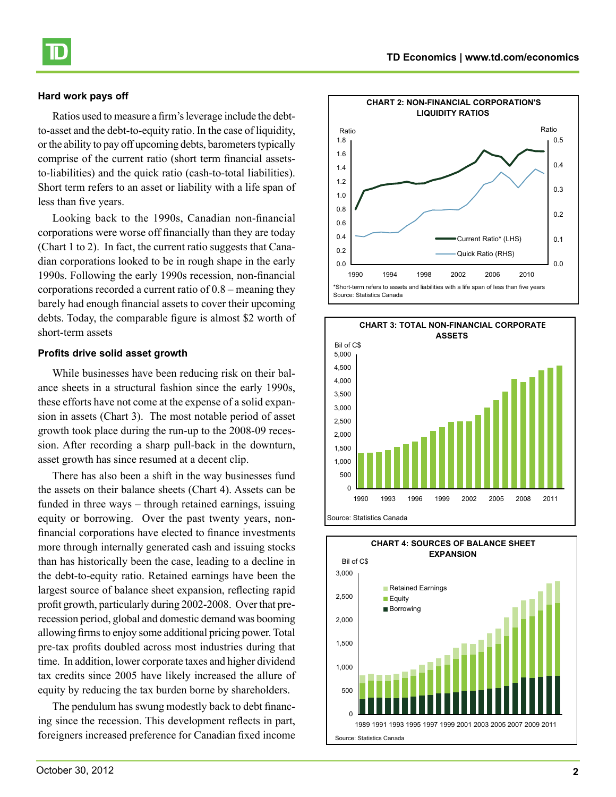#### **Hard work pays off**

Ratios used to measure a firm's leverage include the debtto-asset and the debt-to-equity ratio. In the case of liquidity, or the ability to pay off upcoming debts, barometers typically comprise of the current ratio (short term financial assetsto-liabilities) and the quick ratio (cash-to-total liabilities). Short term refers to an asset or liability with a life span of less than five years.

Looking back to the 1990s, Canadian non-financial corporations were worse off financially than they are today (Chart 1 to 2). In fact, the current ratio suggests that Canadian corporations looked to be in rough shape in the early 1990s. Following the early 1990s recession, non-financial corporations recorded a current ratio of 0.8 – meaning they barely had enough financial assets to cover their upcoming debts. Today, the comparable figure is almost \$2 worth of short-term assets

#### **Profits drive solid asset growth**

While businesses have been reducing risk on their balance sheets in a structural fashion since the early 1990s, these efforts have not come at the expense of a solid expansion in assets (Chart 3). The most notable period of asset growth took place during the run-up to the 2008-09 recession. After recording a sharp pull-back in the downturn, asset growth has since resumed at a decent clip.

There has also been a shift in the way businesses fund the assets on their balance sheets (Chart 4). Assets can be funded in three ways – through retained earnings, issuing equity or borrowing. Over the past twenty years, nonfinancial corporations have elected to finance investments more through internally generated cash and issuing stocks than has historically been the case, leading to a decline in the debt-to-equity ratio. Retained earnings have been the largest source of balance sheet expansion, reflecting rapid profit growth, particularly during 2002-2008. Over that prerecession period, global and domestic demand was booming allowing firms to enjoy some additional pricing power. Total pre-tax profits doubled across most industries during that time. In addition, lower corporate taxes and higher dividend tax credits since 2005 have likely increased the allure of equity by reducing the tax burden borne by shareholders.

The pendulum has swung modestly back to debt financing since the recession. This development reflects in part, foreigners increased preference for Canadian fixed income







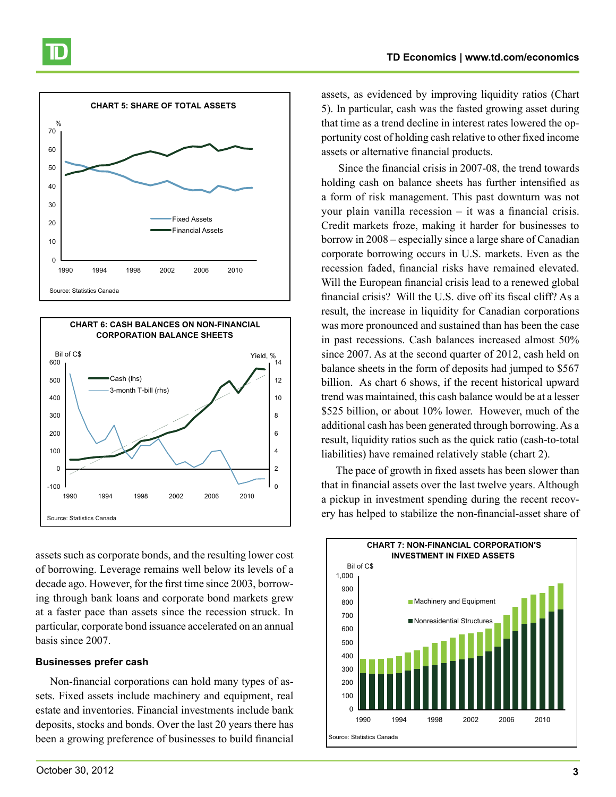



assets such as corporate bonds, and the resulting lower cost of borrowing. Leverage remains well below its levels of a decade ago. However, for the first time since 2003, borrowing through bank loans and corporate bond markets grew at a faster pace than assets since the recession struck. In particular, corporate bond issuance accelerated on an annual basis since 2007.

#### **Businesses prefer cash**

Non-financial corporations can hold many types of assets. Fixed assets include machinery and equipment, real estate and inventories. Financial investments include bank deposits, stocks and bonds. Over the last 20 years there has been a growing preference of businesses to build financial

October 30, 2012 **3**

assets, as evidenced by improving liquidity ratios (Chart 5). In particular, cash was the fasted growing asset during that time as a trend decline in interest rates lowered the opportunity cost of holding cash relative to other fixed income assets or alternative financial products.

 Since the financial crisis in 2007-08, the trend towards holding cash on balance sheets has further intensified as a form of risk management. This past downturn was not your plain vanilla recession – it was a financial crisis. Credit markets froze, making it harder for businesses to borrow in 2008 – especially since a large share of Canadian corporate borrowing occurs in U.S. markets. Even as the recession faded, financial risks have remained elevated. Will the European financial crisis lead to a renewed global financial crisis? Will the U.S. dive off its fiscal cliff? As a result, the increase in liquidity for Canadian corporations was more pronounced and sustained than has been the case in past recessions. Cash balances increased almost 50% since 2007. As at the second quarter of 2012, cash held on balance sheets in the form of deposits had jumped to \$567 billion. As chart 6 shows, if the recent historical upward trend was maintained, this cash balance would be at a lesser \$525 billion, or about 10% lower. However, much of the additional cash has been generated through borrowing. As a result, liquidity ratios such as the quick ratio (cash-to-total liabilities) have remained relatively stable (chart 2).

The pace of growth in fixed assets has been slower than that in financial assets over the last twelve years. Although a pickup in investment spending during the recent recovery has helped to stabilize the non-financial-asset share of

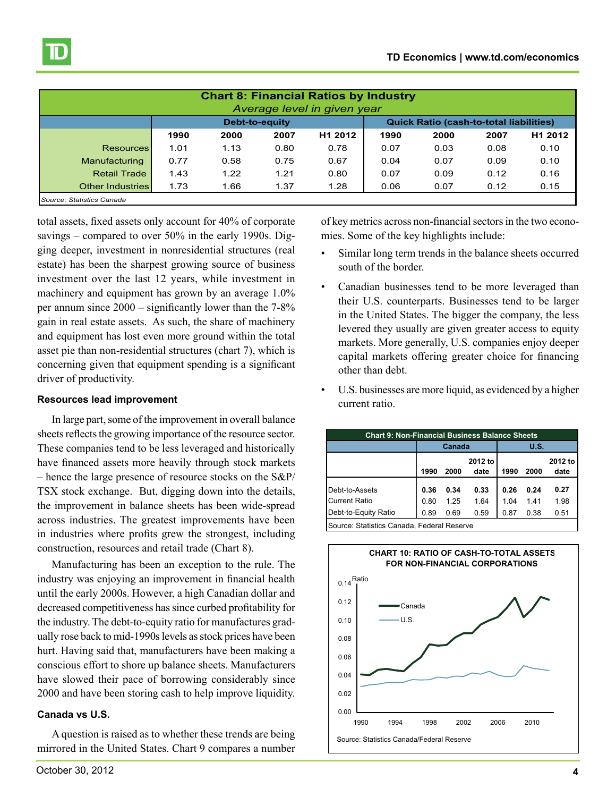

| <b>Chart 8: Financial Ratios by Industry</b><br>Average level in given year |      |                |      |                     |                                                |      |      |         |  |  |  |
|-----------------------------------------------------------------------------|------|----------------|------|---------------------|------------------------------------------------|------|------|---------|--|--|--|
|                                                                             |      | Debt-to-equity |      |                     | <b>Quick Ratio (cash-to-total liabilities)</b> |      |      |         |  |  |  |
|                                                                             | 1990 | 2000           | 2007 | H <sub>1</sub> 2012 | 1990                                           | 2000 | 2007 | H1 2012 |  |  |  |
| <b>Resources</b>                                                            | 1.01 | 1.13           | 0.80 | 0.78                | 0.07                                           | 0.03 | 0.08 | 0.10    |  |  |  |
| Manufacturing                                                               | 0.77 | 0.58           | 0.75 | 0.67                | 0.04                                           | 0.07 | 0.09 | 0.10    |  |  |  |
| <b>Retail Trade</b>                                                         | 1.43 | 1.22           | 1.21 | 0.80                | 0.07                                           | 0.09 | 0.12 | 0.16    |  |  |  |
| <b>Other Industries</b>                                                     | 1.73 | 1.66           | 1.37 | 1.28                | 0.06                                           | 0.07 | 0.12 | 0.15    |  |  |  |
| Source: Statistics Canada                                                   |      |                |      |                     |                                                |      |      |         |  |  |  |

total assets, fixed assets only account for 40% of corporate savings – compared to over 50% in the early 1990s. Digging deeper, investment in nonresidential structures (real estate) has been the sharpest growing source of business investment over the last 12 years, while investment in machinery and equipment has grown by an average 1.0% per annum since 2000 – significantly lower than the 7-8% gain in real estate assets. As such, the share of machinery and equipment has lost even more ground within the total asset pie than non-residential structures (chart 7), which is concerning given that equipment spending is a significant driver of productivity.

#### **Resources lead improvement**

In large part, some of the improvement in overall balance sheets reflects the growing importance of the resource sector. These companies tend to be less leveraged and historically have financed assets more heavily through stock markets – hence the large presence of resource stocks on the S&P/ TSX stock exchange. But, digging down into the details, the improvement in balance sheets has been wide-spread across industries. The greatest improvements have been in industries where profits grew the strongest, including construction, resources and retail trade (Chart 8).

Manufacturing has been an exception to the rule. The industry was enjoying an improvement in financial health until the early 2000s. However, a high Canadian dollar and decreased competitiveness has since curbed profitability for the industry. The debt-to-equity ratio for manufactures gradually rose back to mid-1990s levels as stock prices have been hurt. Having said that, manufacturers have been making a conscious effort to shore up balance sheets. Manufacturers have slowed their pace of borrowing considerably since 2000 and have been storing cash to help improve liquidity.

#### **Canada vs U.S.**

A question is raised as to whether these trends are being mirrored in the United States. Chart 9 compares a number of key metrics across non-financial sectors in the two economies. Some of the key highlights include:

- Similar long term trends in the balance sheets occurred south of the border.
- Canadian businesses tend to be more leveraged than their U.S. counterparts. Businesses tend to be larger in the United States. The bigger the company, the less levered they usually are given greater access to equity markets. More generally, U.S. companies enjoy deeper capital markets offering greater choice for financing other than debt.
- U.S. businesses are more liquid, as evidenced by a higher current ratio.

| <b>Chart 9: Non-Financial Business Balance Sheets</b> |      |        |                 |      |      |                 |  |  |  |  |  |
|-------------------------------------------------------|------|--------|-----------------|------|------|-----------------|--|--|--|--|--|
|                                                       |      | Canada |                 | U.S. |      |                 |  |  |  |  |  |
|                                                       | 1990 | 2000   | 2012 to<br>date | 1990 | 2000 | 2012 to<br>date |  |  |  |  |  |
| Debt-to-Assets                                        | 0.36 | 0.34   | 0.33            | 0.26 | 0.24 | 0.27            |  |  |  |  |  |
| <b>Current Ratio</b>                                  | 0.80 | 1.25   | 1.64            | 1.04 | 1.41 | 1.98            |  |  |  |  |  |
| Debt-to-Equity Ratio                                  | 0.89 | 0.69   | 0.59            | 0.87 | 0.38 | 0.51            |  |  |  |  |  |
| Source: Statistics Canada, Federal Reserve            |      |        |                 |      |      |                 |  |  |  |  |  |

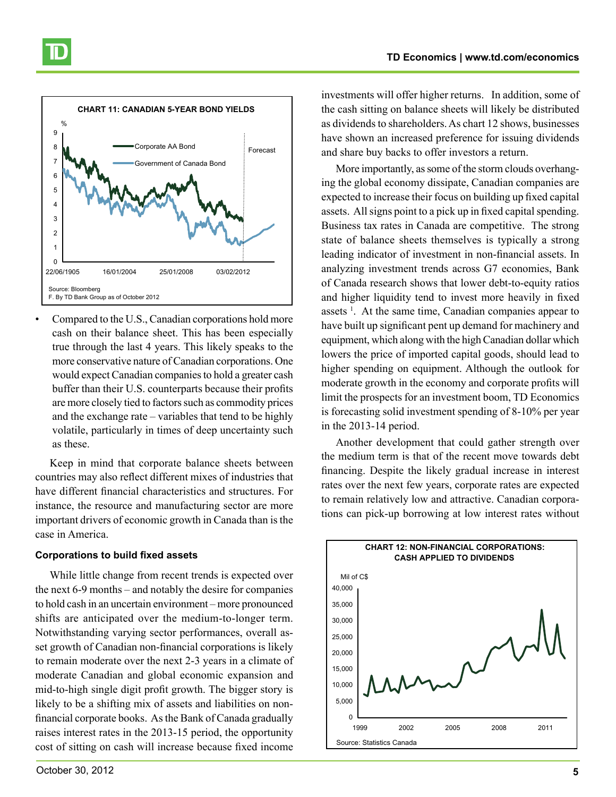

Compared to the U.S., Canadian corporations hold more cash on their balance sheet. This has been especially true through the last 4 years. This likely speaks to the more conservative nature of Canadian corporations. One would expect Canadian companies to hold a greater cash buffer than their U.S. counterparts because their profits are more closely tied to factors such as commodity prices and the exchange rate – variables that tend to be highly volatile, particularly in times of deep uncertainty such as these.

Keep in mind that corporate balance sheets between countries may also reflect different mixes of industries that have different financial characteristics and structures. For instance, the resource and manufacturing sector are more important drivers of economic growth in Canada than is the case in America.

#### **Corporations to build fixed assets**

While little change from recent trends is expected over the next 6-9 months – and notably the desire for companies to hold cash in an uncertain environment – more pronounced shifts are anticipated over the medium-to-longer term. Notwithstanding varying sector performances, overall asset growth of Canadian non-financial corporations is likely to remain moderate over the next 2-3 years in a climate of moderate Canadian and global economic expansion and mid-to-high single digit profit growth. The bigger story is likely to be a shifting mix of assets and liabilities on nonfinancial corporate books. As the Bank of Canada gradually raises interest rates in the 2013-15 period, the opportunity cost of sitting on cash will increase because fixed income

investments will offer higher returns. In addition, some of the cash sitting on balance sheets will likely be distributed as dividends to shareholders. As chart 12 shows, businesses have shown an increased preference for issuing dividends and share buy backs to offer investors a return.

More importantly, as some of the storm clouds overhanging the global economy dissipate, Canadian companies are expected to increase their focus on building up fixed capital assets. All signs point to a pick up in fixed capital spending. Business tax rates in Canada are competitive. The strong state of balance sheets themselves is typically a strong leading indicator of investment in non-financial assets. In analyzing investment trends across G7 economies, Bank of Canada research shows that lower debt-to-equity ratios and higher liquidity tend to invest more heavily in fixed assets<sup>1</sup>. At the same time, Canadian companies appear to have built up significant pent up demand for machinery and equipment, which along with the high Canadian dollar which lowers the price of imported capital goods, should lead to higher spending on equipment. Although the outlook for moderate growth in the economy and corporate profits will limit the prospects for an investment boom, TD Economics is forecasting solid investment spending of 8-10% per year in the 2013-14 period.

Another development that could gather strength over the medium term is that of the recent move towards debt financing. Despite the likely gradual increase in interest rates over the next few years, corporate rates are expected to remain relatively low and attractive. Canadian corporations can pick-up borrowing at low interest rates without